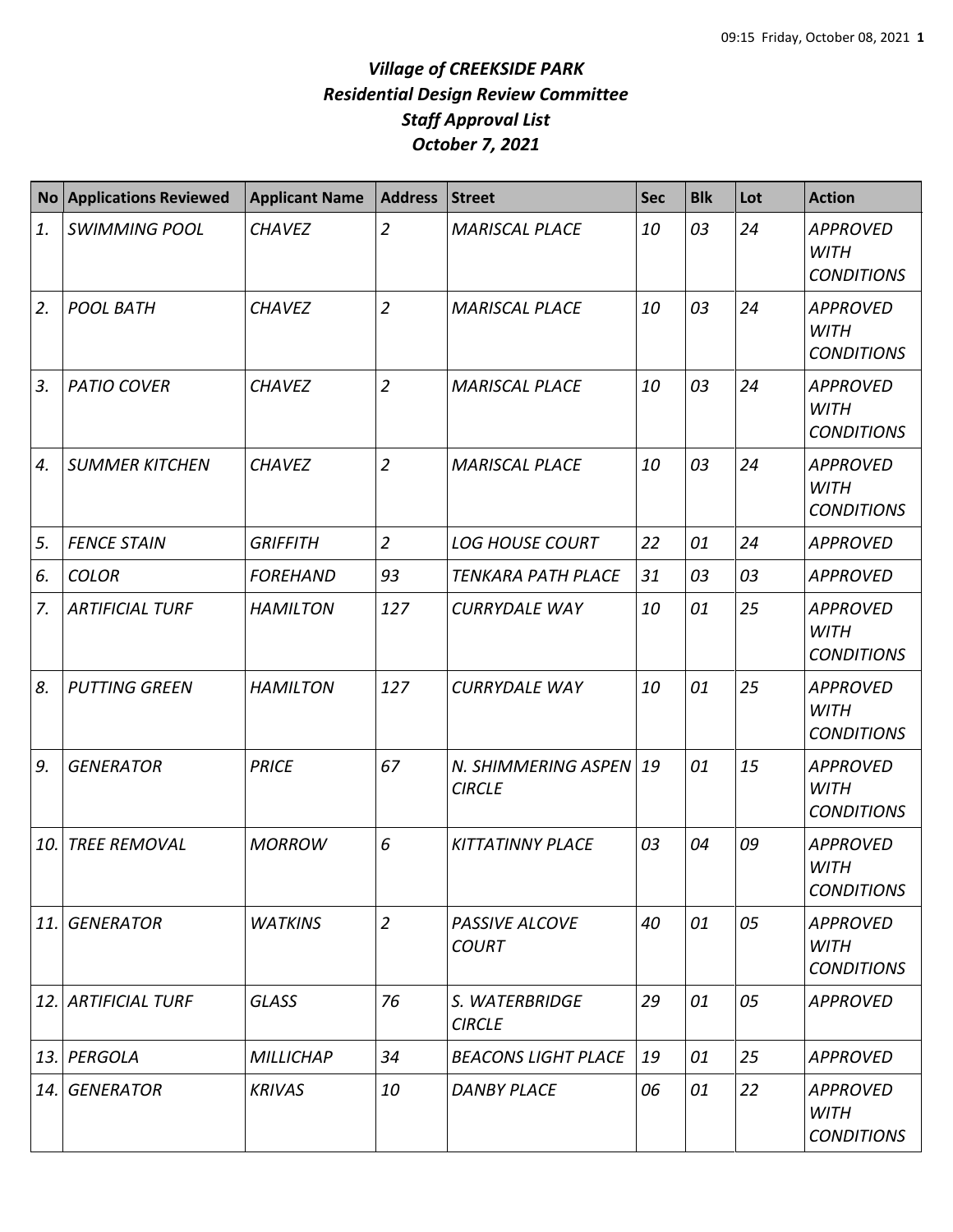| <b>No</b> | <b>Applications Reviewed</b> | <b>Applicant Name</b> | <b>Address</b> | Street                               | <b>Sec</b> | <b>Blk</b> | Lot | <b>Action</b>                                       |
|-----------|------------------------------|-----------------------|----------------|--------------------------------------|------------|------------|-----|-----------------------------------------------------|
| 1.        | <b>SWIMMING POOL</b>         | <b>CHAVEZ</b>         | $\overline{2}$ | <b>MARISCAL PLACE</b>                | 10         | 03         | 24  | <b>APPROVED</b><br><b>WITH</b><br><b>CONDITIONS</b> |
| 2.        | <b>POOL BATH</b>             | <b>CHAVEZ</b>         | $\overline{2}$ | <b>MARISCAL PLACE</b>                | 10         | 03         | 24  | <b>APPROVED</b><br><b>WITH</b><br><b>CONDITIONS</b> |
| 3.        | <b>PATIO COVER</b>           | <b>CHAVEZ</b>         | $\overline{2}$ | <b>MARISCAL PLACE</b>                | 10         | 03         | 24  | <b>APPROVED</b><br><b>WITH</b><br><b>CONDITIONS</b> |
| 4.        | <b>SUMMER KITCHEN</b>        | <b>CHAVEZ</b>         | $\overline{2}$ | <b>MARISCAL PLACE</b>                | 10         | 03         | 24  | <b>APPROVED</b><br><b>WITH</b><br><b>CONDITIONS</b> |
| 5.        | <b>FENCE STAIN</b>           | <b>GRIFFITH</b>       | $\overline{2}$ | <b>LOG HOUSE COURT</b>               | 22         | 01         | 24  | <b>APPROVED</b>                                     |
| 6.        | <b>COLOR</b>                 | <b>FOREHAND</b>       | 93             | TENKARA PATH PLACE                   | 31         | 03         | 03  | <b>APPROVED</b>                                     |
| 7.        | <b>ARTIFICIAL TURF</b>       | <b>HAMILTON</b>       | 127            | <b>CURRYDALE WAY</b>                 | 10         | 01         | 25  | <b>APPROVED</b><br><b>WITH</b><br><b>CONDITIONS</b> |
| 8.        | <b>PUTTING GREEN</b>         | <b>HAMILTON</b>       | 127            | <b>CURRYDALE WAY</b>                 | 10         | 01         | 25  | <b>APPROVED</b><br><b>WITH</b><br><b>CONDITIONS</b> |
| 9.        | <b>GENERATOR</b>             | <b>PRICE</b>          | 67             | N. SHIMMERING ASPEN<br><b>CIRCLE</b> | 19         | 01         | 15  | <b>APPROVED</b><br><b>WITH</b><br><b>CONDITIONS</b> |
| 10.       | <b>TREE REMOVAL</b>          | <b>MORROW</b>         | 6              | <b>KITTATINNY PLACE</b>              | 03         | 04         | 09  | <b>APPROVED</b><br><b>WITH</b><br><b>CONDITIONS</b> |
| 11.       | <b>GENERATOR</b>             | <b>WATKINS</b>        | $\overline{2}$ | PASSIVE ALCOVE<br><b>COURT</b>       | 40         | 01         | 05  | <b>APPROVED</b><br><b>WITH</b><br><b>CONDITIONS</b> |
| 12.       | <b>ARTIFICIAL TURF</b>       | <b>GLASS</b>          | 76             | S. WATERBRIDGE<br><b>CIRCLE</b>      | 29         | 01         | 05  | <b>APPROVED</b>                                     |
| 13.       | PERGOLA                      | <b>MILLICHAP</b>      | 34             | <b>BEACONS LIGHT PLACE</b>           | 19         | 01         | 25  | <b>APPROVED</b>                                     |
| 14.       | <b>GENERATOR</b>             | <b>KRIVAS</b>         | 10             | <b>DANBY PLACE</b>                   | 06         | 01         | 22  | APPROVED<br><b>WITH</b><br><b>CONDITIONS</b>        |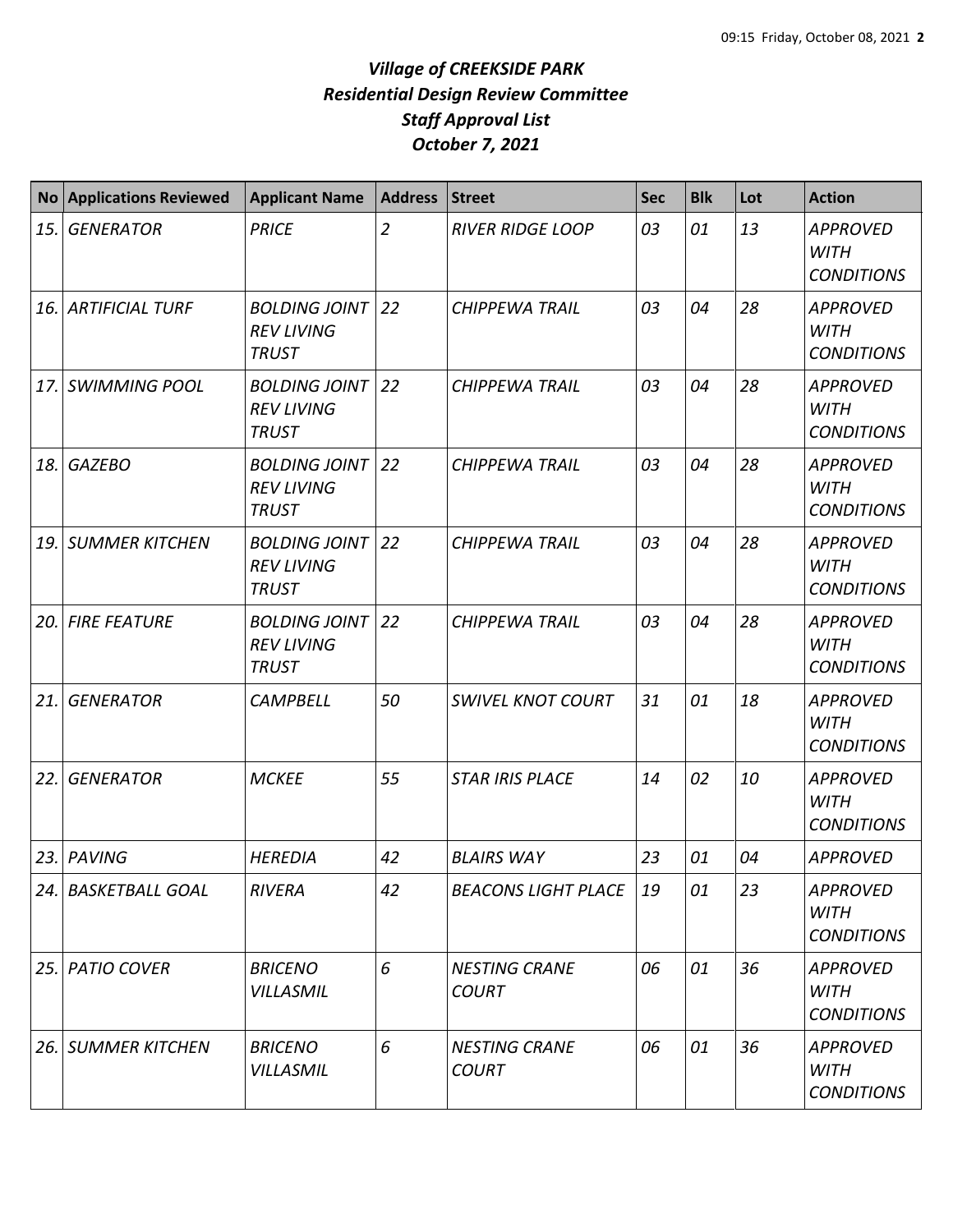| <b>No</b> | <b>Applications Reviewed</b> | <b>Applicant Name</b>                                     | <b>Address</b> | <b>Street</b>                        | <b>Sec</b> | <b>Blk</b> | Lot | <b>Action</b>                                       |
|-----------|------------------------------|-----------------------------------------------------------|----------------|--------------------------------------|------------|------------|-----|-----------------------------------------------------|
| 15.       | <b>GENERATOR</b>             | <b>PRICE</b>                                              | $\overline{2}$ | <b>RIVER RIDGE LOOP</b>              | 03         | 01         | 13  | <b>APPROVED</b><br><b>WITH</b><br><b>CONDITIONS</b> |
|           | <b>16. ARTIFICIAL TURF</b>   | <b>BOLDING JOINT</b><br><b>REV LIVING</b><br><b>TRUST</b> | 22             | <b>CHIPPEWA TRAIL</b>                | 03         | 04         | 28  | <b>APPROVED</b><br><b>WITH</b><br><b>CONDITIONS</b> |
| 17.       | <b>SWIMMING POOL</b>         | <b>BOLDING JOINT</b><br><b>REV LIVING</b><br><b>TRUST</b> | 22             | <b>CHIPPEWA TRAIL</b>                | 03         | 04         | 28  | <b>APPROVED</b><br><b>WITH</b><br><b>CONDITIONS</b> |
| 18.       | <b>GAZEBO</b>                | <b>BOLDING JOINT</b><br><b>REV LIVING</b><br><b>TRUST</b> | 22             | <b>CHIPPEWA TRAIL</b>                | 03         | 04         | 28  | <b>APPROVED</b><br><b>WITH</b><br><b>CONDITIONS</b> |
|           | <b>19. SUMMER KITCHEN</b>    | <b>BOLDING JOINT</b><br><b>REV LIVING</b><br><b>TRUST</b> | 22             | <b>CHIPPEWA TRAIL</b>                | 03         | 04         | 28  | <b>APPROVED</b><br><b>WITH</b><br><b>CONDITIONS</b> |
|           | <b>20. FIRE FEATURE</b>      | <b>BOLDING JOINT</b><br><b>REV LIVING</b><br><b>TRUST</b> | 22             | <b>CHIPPEWA TRAIL</b>                | 03         | 04         | 28  | <b>APPROVED</b><br><b>WITH</b><br><b>CONDITIONS</b> |
| 21.       | <b>GENERATOR</b>             | <b>CAMPBELL</b>                                           | 50             | <b>SWIVEL KNOT COURT</b>             | 31         | 01         | 18  | <b>APPROVED</b><br><b>WITH</b><br><b>CONDITIONS</b> |
| 22.       | <b>GENERATOR</b>             | <b>MCKEE</b>                                              | 55             | <b>STAR IRIS PLACE</b>               | 14         | 02         | 10  | <b>APPROVED</b><br><b>WITH</b><br><b>CONDITIONS</b> |
|           | 23. PAVING                   | <b>HEREDIA</b>                                            | 42             | <b>BLAIRS WAY</b>                    | 23         | 01         | 04  | <b>APPROVED</b>                                     |
|           | 24. BASKETBALL GOAL          | <b>RIVERA</b>                                             | 42             | <b>BEACONS LIGHT PLACE</b>           | 19         | 01         | 23  | <b>APPROVED</b><br><b>WITH</b><br><b>CONDITIONS</b> |
|           | 25. PATIO COVER              | <b>BRICENO</b><br><b>VILLASMIL</b>                        | 6              | <b>NESTING CRANE</b><br><b>COURT</b> | 06         | 01         | 36  | <b>APPROVED</b><br><b>WITH</b><br><b>CONDITIONS</b> |
|           | 26. SUMMER KITCHEN           | <b>BRICENO</b><br><b>VILLASMIL</b>                        | 6              | <b>NESTING CRANE</b><br><b>COURT</b> | 06         | 01         | 36  | <b>APPROVED</b><br><b>WITH</b><br><b>CONDITIONS</b> |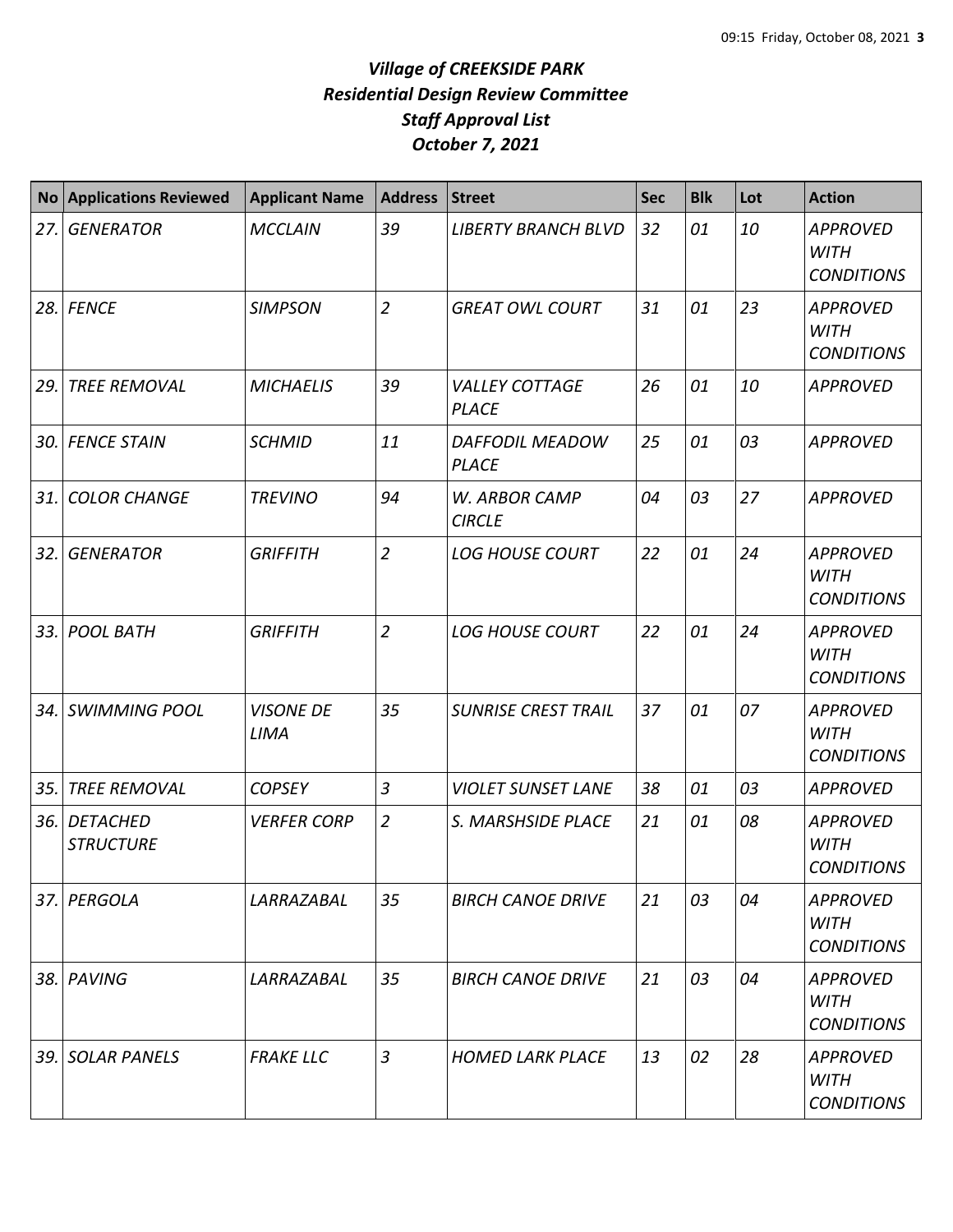| <b>No</b> | <b>Applications Reviewed</b>        | <b>Applicant Name</b>    | <b>Address</b> | <b>Street</b>                         | <b>Sec</b> | <b>Blk</b> | Lot | <b>Action</b>                                       |
|-----------|-------------------------------------|--------------------------|----------------|---------------------------------------|------------|------------|-----|-----------------------------------------------------|
| 27.       | <b>GENERATOR</b>                    | <b>MCCLAIN</b>           | 39             | <b>LIBERTY BRANCH BLVD</b>            | 32         | 01         | 10  | <b>APPROVED</b><br><b>WITH</b><br><b>CONDITIONS</b> |
| 28.       | <b>FENCE</b>                        | <b>SIMPSON</b>           | $\overline{2}$ | <b>GREAT OWL COURT</b>                | 31         | 01         | 23  | <b>APPROVED</b><br><b>WITH</b><br><b>CONDITIONS</b> |
| 29.       | <b>TREE REMOVAL</b>                 | <b>MICHAELIS</b>         | 39             | <b>VALLEY COTTAGE</b><br><b>PLACE</b> | 26         | 01         | 10  | <b>APPROVED</b>                                     |
| 30.       | <b>FENCE STAIN</b>                  | <b>SCHMID</b>            | 11             | DAFFODIL MEADOW<br><b>PLACE</b>       | 25         | 01         | 03  | <b>APPROVED</b>                                     |
| 31.       | <b>COLOR CHANGE</b>                 | <b>TREVINO</b>           | 94             | W. ARBOR CAMP<br><b>CIRCLE</b>        | 04         | 03         | 27  | <b>APPROVED</b>                                     |
| 32.       | <b>GENERATOR</b>                    | <b>GRIFFITH</b>          | $\overline{2}$ | <b>LOG HOUSE COURT</b>                | 22         | 01         | 24  | <b>APPROVED</b><br><b>WITH</b><br><b>CONDITIONS</b> |
| 33.       | <b>POOL BATH</b>                    | <b>GRIFFITH</b>          | $\overline{2}$ | <b>LOG HOUSE COURT</b>                | 22         | 01         | 24  | <b>APPROVED</b><br><b>WITH</b><br><b>CONDITIONS</b> |
| 34.       | <b>SWIMMING POOL</b>                | <b>VISONE DE</b><br>LIMA | 35             | <b>SUNRISE CREST TRAIL</b>            | 37         | 01         | 07  | <b>APPROVED</b><br><b>WITH</b><br><b>CONDITIONS</b> |
| 35.       | <b>TREE REMOVAL</b>                 | <b>COPSEY</b>            | $\mathfrak{Z}$ | <b>VIOLET SUNSET LANE</b>             | 38         | 01         | 03  | <b>APPROVED</b>                                     |
| 36.       | <b>DETACHED</b><br><b>STRUCTURE</b> | <b>VERFER CORP</b>       | $\overline{2}$ | S. MARSHSIDE PLACE                    | 21         | 01         | 08  | <b>APPROVED</b><br><b>WITH</b><br><b>CONDITIONS</b> |
| 37.       | PERGOLA                             | LARRAZABAL               | 35             | <b>BIRCH CANOE DRIVE</b>              | 21         | 03         | 04  | <b>APPROVED</b><br><b>WITH</b><br><b>CONDITIONS</b> |
| 38.       | PAVING                              | LARRAZABAL               | 35             | <b>BIRCH CANOE DRIVE</b>              | 21         | 03         | 04  | <b>APPROVED</b><br><b>WITH</b><br><b>CONDITIONS</b> |
| 39.       | <b>SOLAR PANELS</b>                 | <b>FRAKE LLC</b>         | $\mathfrak{Z}$ | <b>HOMED LARK PLACE</b>               | 13         | 02         | 28  | <b>APPROVED</b><br><b>WITH</b><br><b>CONDITIONS</b> |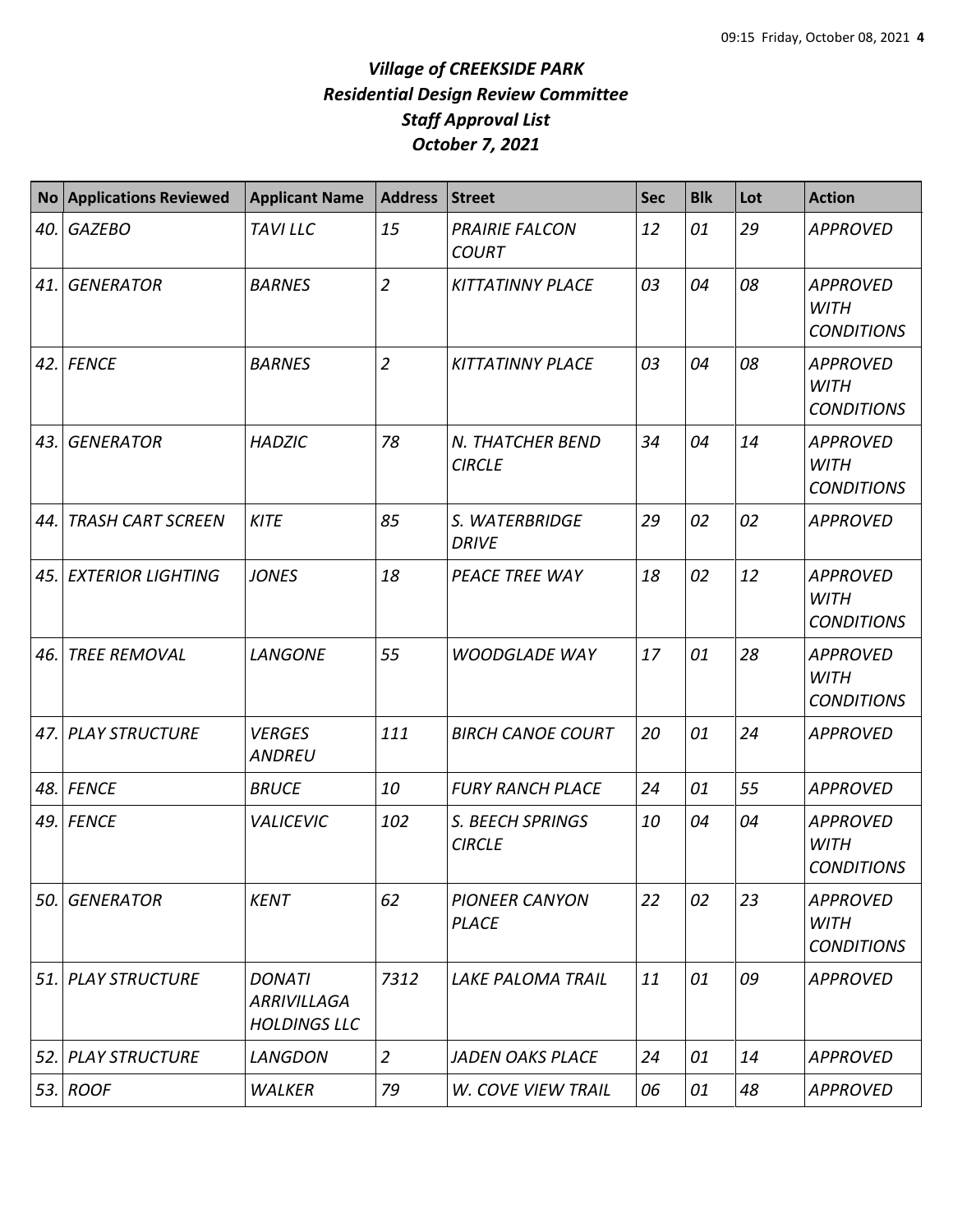| <b>No</b> | <b>Applications Reviewed</b> | <b>Applicant Name</b>                                      | <b>Address</b> | <b>Street</b>                         | <b>Sec</b> | <b>Blk</b> | Lot | <b>Action</b>                                       |
|-----------|------------------------------|------------------------------------------------------------|----------------|---------------------------------------|------------|------------|-----|-----------------------------------------------------|
| 40.       | <b>GAZEBO</b>                | <b>TAVILLC</b>                                             | 15             | <b>PRAIRIE FALCON</b><br><b>COURT</b> | 12         | 01         | 29  | <b>APPROVED</b>                                     |
| 41.       | <b>GENERATOR</b>             | <b>BARNES</b>                                              | $\overline{2}$ | <b>KITTATINNY PLACE</b>               | 03         | 04         | 08  | <b>APPROVED</b><br><b>WITH</b><br><b>CONDITIONS</b> |
| 42.       | <b>FENCE</b>                 | <b>BARNES</b>                                              | $\overline{2}$ | <b>KITTATINNY PLACE</b>               | 03         | 04         | 08  | <b>APPROVED</b><br><b>WITH</b><br><b>CONDITIONS</b> |
| 43.       | <b>GENERATOR</b>             | <b>HADZIC</b>                                              | 78             | N. THATCHER BEND<br><b>CIRCLE</b>     | 34         | 04         | 14  | <b>APPROVED</b><br><b>WITH</b><br><b>CONDITIONS</b> |
| 44.       | <b>TRASH CART SCREEN</b>     | <b>KITE</b>                                                | 85             | S. WATERBRIDGE<br><b>DRIVE</b>        | 29         | 02         | 02  | <b>APPROVED</b>                                     |
| 45.       | <b>EXTERIOR LIGHTING</b>     | <b>JONES</b>                                               | 18             | PEACE TREE WAY                        | 18         | 02         | 12  | <b>APPROVED</b><br><b>WITH</b><br><b>CONDITIONS</b> |
| 46.       | <b>TREE REMOVAL</b>          | <b>LANGONE</b>                                             | 55             | <b>WOODGLADE WAY</b>                  | 17         | 01         | 28  | <b>APPROVED</b><br><b>WITH</b><br><b>CONDITIONS</b> |
| 47.       | <b>PLAY STRUCTURE</b>        | <b>VERGES</b><br><b>ANDREU</b>                             | 111            | <b>BIRCH CANOE COURT</b>              | 20         | 01         | 24  | <b>APPROVED</b>                                     |
| 48.       | <b>FENCE</b>                 | <b>BRUCE</b>                                               | 10             | <b>FURY RANCH PLACE</b>               | 24         | 01         | 55  | <b>APPROVED</b>                                     |
| 49.       | <b>FENCE</b>                 | <b>VALICEVIC</b>                                           | 102            | S. BEECH SPRINGS<br><b>CIRCLE</b>     | 10         | 04         | 04  | <b>APPROVED</b><br><b>WITH</b><br><b>CONDITIONS</b> |
| 50.       | <b>GENERATOR</b>             | <b>KENT</b>                                                | 62             | <b>PIONEER CANYON</b><br><b>PLACE</b> | 22         | 02         | 23  | <b>APPROVED</b><br><b>WITH</b><br><b>CONDITIONS</b> |
| 51.       | <b>PLAY STRUCTURE</b>        | <b>DONATI</b><br><b>ARRIVILLAGA</b><br><b>HOLDINGS LLC</b> | 7312           | LAKE PALOMA TRAIL                     | 11         | 01         | 09  | <b>APPROVED</b>                                     |
| 52.       | <b>PLAY STRUCTURE</b>        | <b>LANGDON</b>                                             | $\overline{2}$ | <b>JADEN OAKS PLACE</b>               | 24         | 01         | 14  | <b>APPROVED</b>                                     |
| 53.       | <b>ROOF</b>                  | <b>WALKER</b>                                              | 79             | <b>W. COVE VIEW TRAIL</b>             | 06         | 01         | 48  | <b>APPROVED</b>                                     |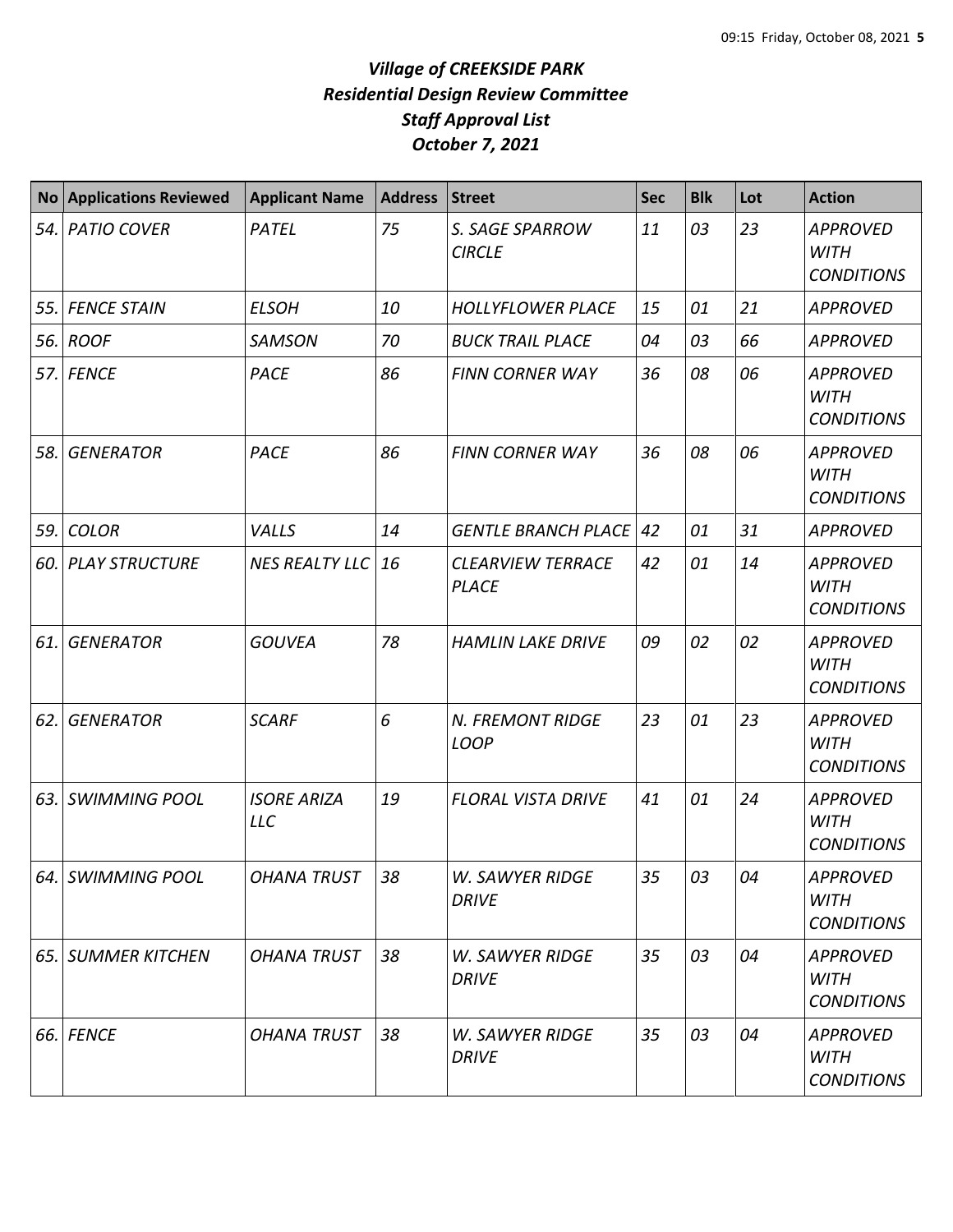| <b>No</b> | <b>Applications Reviewed</b> | <b>Applicant Name</b>            | <b>Address</b> | <b>Street</b>                            | <b>Sec</b> | <b>Blk</b> | Lot | <b>Action</b>                                       |
|-----------|------------------------------|----------------------------------|----------------|------------------------------------------|------------|------------|-----|-----------------------------------------------------|
| 54.       | <b>PATIO COVER</b>           | PATEL                            | 75             | S. SAGE SPARROW<br><b>CIRCLE</b>         | 11         | 03         | 23  | <b>APPROVED</b><br><b>WITH</b><br><b>CONDITIONS</b> |
| 55.       | <b>FENCE STAIN</b>           | <b>ELSOH</b>                     | 10             | <b>HOLLYFLOWER PLACE</b>                 | 15         | 01         | 21  | <b>APPROVED</b>                                     |
| 56.       | <b>ROOF</b>                  | <b>SAMSON</b>                    | 70             | <b>BUCK TRAIL PLACE</b>                  | 04         | 03         | 66  | <b>APPROVED</b>                                     |
| 57.I      | FENCE                        | PACE                             | 86             | <b>FINN CORNER WAY</b>                   | 36         | 08         | 06  | <b>APPROVED</b><br><b>WITH</b><br><b>CONDITIONS</b> |
| 58.       | <b>GENERATOR</b>             | <b>PACE</b>                      | 86             | <b>FINN CORNER WAY</b>                   | 36         | 08         | 06  | <b>APPROVED</b><br><b>WITH</b><br><b>CONDITIONS</b> |
| 59.       | <b>COLOR</b>                 | VALLS                            | 14             | <b>GENTLE BRANCH PLACE</b>               | 42         | 01         | 31  | <b>APPROVED</b>                                     |
| 60.       | <b>PLAY STRUCTURE</b>        | <b>NES REALTY LLC</b>            | 16             | <b>CLEARVIEW TERRACE</b><br><b>PLACE</b> | 42         | 01         | 14  | <b>APPROVED</b><br><b>WITH</b><br><b>CONDITIONS</b> |
| 61.       | <b>GENERATOR</b>             | <b>GOUVEA</b>                    | 78             | <b>HAMLIN LAKE DRIVE</b>                 | 09         | 02         | 02  | <b>APPROVED</b><br><b>WITH</b><br><b>CONDITIONS</b> |
| 62.       | <b>GENERATOR</b>             | <b>SCARF</b>                     | 6              | N. FREMONT RIDGE<br><b>LOOP</b>          | 23         | 01         | 23  | <b>APPROVED</b><br><b>WITH</b><br><b>CONDITIONS</b> |
| 63.       | <b>SWIMMING POOL</b>         | <b>ISORE ARIZA</b><br><b>LLC</b> | 19             | <b>FLORAL VISTA DRIVE</b>                | 41         | 01         | 24  | <b>APPROVED</b><br><b>WITH</b><br><b>CONDITIONS</b> |
|           | 64. SWIMMING POOL            | <b>OHANA TRUST</b>               | 38             | W. SAWYER RIDGE<br>DRIVE                 | 35         | 03         | 04  | <b>APPROVED</b><br>WITH<br><b>CONDITIONS</b>        |
| 65. I     | <b>SUMMER KITCHEN</b>        | <b>OHANA TRUST</b>               | 38             | <b>W. SAWYER RIDGE</b><br><b>DRIVE</b>   | 35         | 03         | 04  | <b>APPROVED</b><br><b>WITH</b><br><b>CONDITIONS</b> |
| 66.       | <b>FENCE</b>                 | <b>OHANA TRUST</b>               | 38             | <b>W. SAWYER RIDGE</b><br><b>DRIVE</b>   | 35         | 03         | 04  | <b>APPROVED</b><br><b>WITH</b><br><b>CONDITIONS</b> |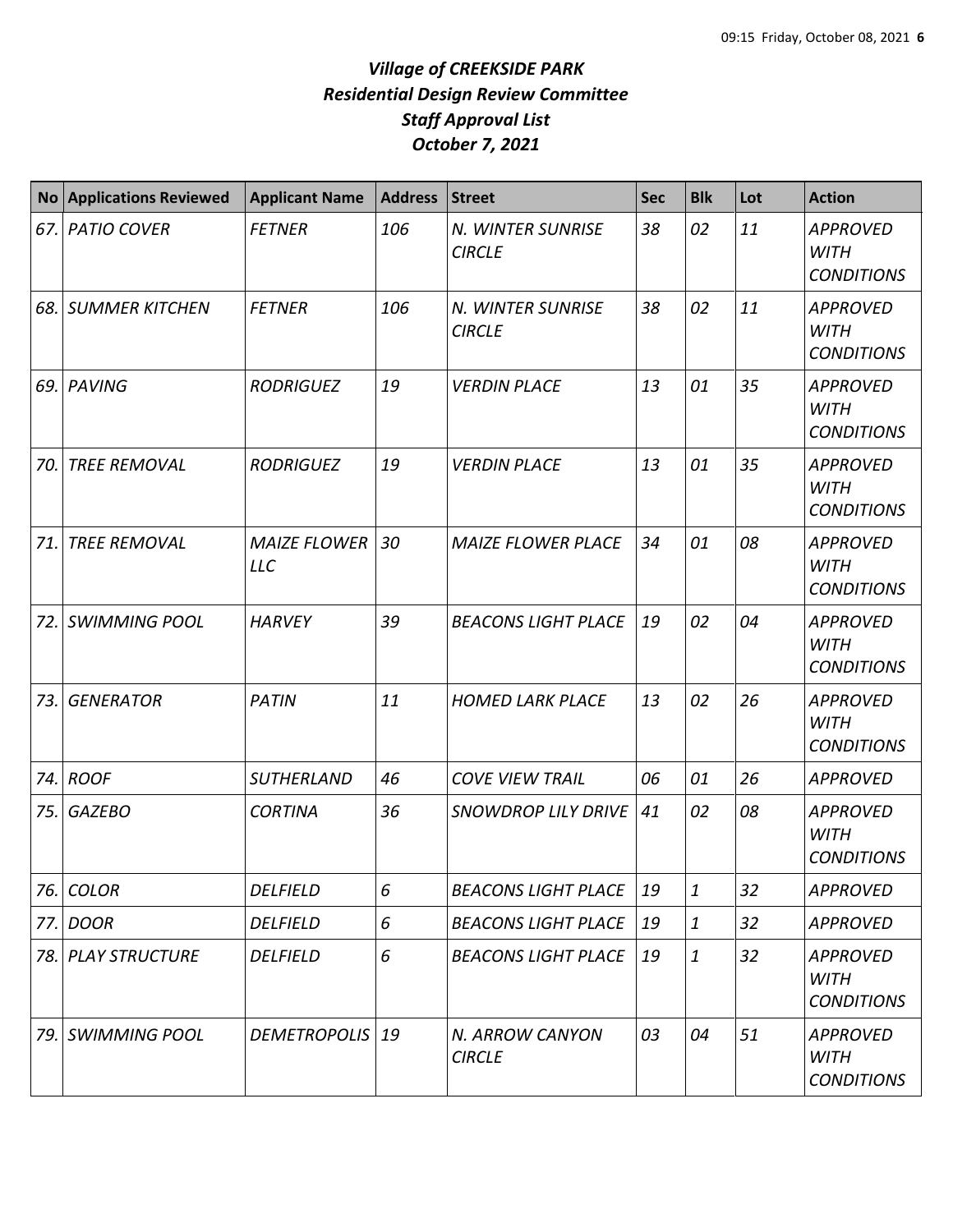| <b>No</b> | <b>Applications Reviewed</b> | <b>Applicant Name</b>             | <b>Address</b> | <b>Street</b>                      | <b>Sec</b> | <b>Blk</b>       | Lot | <b>Action</b>                                       |
|-----------|------------------------------|-----------------------------------|----------------|------------------------------------|------------|------------------|-----|-----------------------------------------------------|
| 67.       | <b>PATIO COVER</b>           | <b>FETNER</b>                     | 106            | N. WINTER SUNRISE<br><b>CIRCLE</b> | 38         | 02               | 11  | <b>APPROVED</b><br><b>WITH</b><br><b>CONDITIONS</b> |
| 68.       | <b>SUMMER KITCHEN</b>        | <b>FETNER</b>                     | 106            | N. WINTER SUNRISE<br><b>CIRCLE</b> | 38         | 02               | 11  | <b>APPROVED</b><br><b>WITH</b><br><b>CONDITIONS</b> |
| 69.       | PAVING                       | <b>RODRIGUEZ</b>                  | 19             | <b>VERDIN PLACE</b>                | 13         | 01               | 35  | <b>APPROVED</b><br><b>WITH</b><br><b>CONDITIONS</b> |
| 70.       | <b>TREE REMOVAL</b>          | <b>RODRIGUEZ</b>                  | 19             | <b>VERDIN PLACE</b>                | 13         | 01               | 35  | <b>APPROVED</b><br><b>WITH</b><br><b>CONDITIONS</b> |
| 71.       | <b>TREE REMOVAL</b>          | <b>MAIZE FLOWER</b><br><b>LLC</b> | 30             | <b>MAIZE FLOWER PLACE</b>          | 34         | 01               | 08  | <b>APPROVED</b><br><b>WITH</b><br><b>CONDITIONS</b> |
| 72.       | <b>SWIMMING POOL</b>         | <b>HARVEY</b>                     | 39             | <b>BEACONS LIGHT PLACE</b>         | 19         | 02               | 04  | <b>APPROVED</b><br><b>WITH</b><br><b>CONDITIONS</b> |
| 73.       | <b>GENERATOR</b>             | <b>PATIN</b>                      | 11             | <b>HOMED LARK PLACE</b>            | 13         | 02               | 26  | <b>APPROVED</b><br><b>WITH</b><br><b>CONDITIONS</b> |
| 74.       | <b>ROOF</b>                  | <b>SUTHERLAND</b>                 | 46             | <b>COVE VIEW TRAIL</b>             | 06         | 01               | 26  | <b>APPROVED</b>                                     |
| 75.       | <b>GAZEBO</b>                | <b>CORTINA</b>                    | 36             | <b>SNOWDROP LILY DRIVE</b>         | 41         | 02               | 08  | <b>APPROVED</b><br><b>WITH</b><br><b>CONDITIONS</b> |
| 76.       | <b>COLOR</b>                 | <b>DELFIELD</b>                   | 6              | <b>BEACONS LIGHT PLACE</b>         | 19         | $\boldsymbol{1}$ | 32  | <b>APPROVED</b>                                     |
| 77.       | <b>DOOR</b>                  | <b>DELFIELD</b>                   | 6              | <b>BEACONS LIGHT PLACE</b>         | 19         | 1                | 32  | <b>APPROVED</b>                                     |
| 78.       | <b>PLAY STRUCTURE</b>        | <b>DELFIELD</b>                   | 6              | <b>BEACONS LIGHT PLACE</b>         | 19         | 1                | 32  | <b>APPROVED</b><br><b>WITH</b><br><b>CONDITIONS</b> |
| 79.       | <b>SWIMMING POOL</b>         | <b>DEMETROPOLIS</b>               | 19             | N. ARROW CANYON<br><b>CIRCLE</b>   | 03         | 04               | 51  | <b>APPROVED</b><br><b>WITH</b><br><b>CONDITIONS</b> |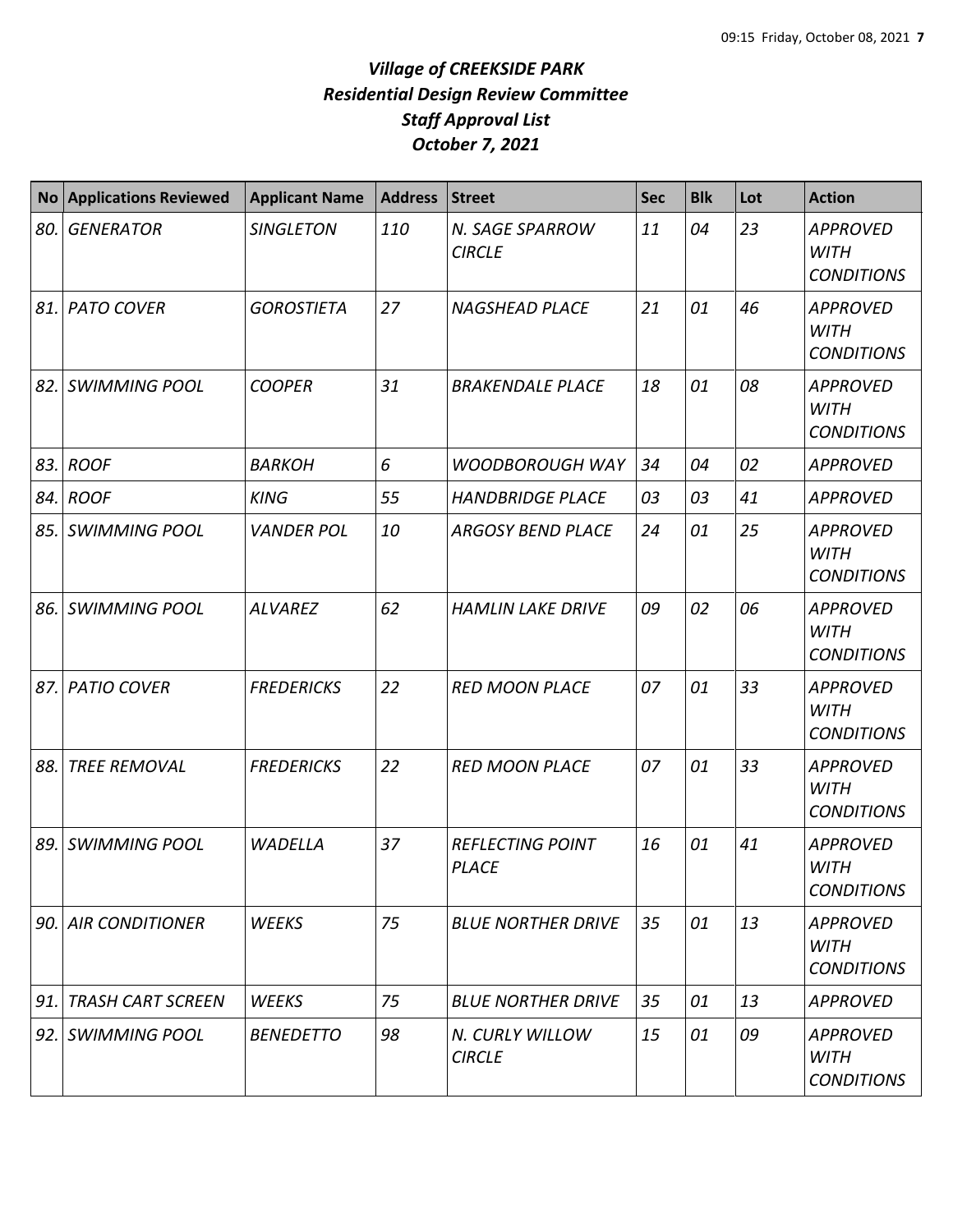| No  | <b>Applications Reviewed</b> | <b>Applicant Name</b> | <b>Address</b> | Street                                  | <b>Sec</b> | <b>Blk</b> | Lot | <b>Action</b>                                       |
|-----|------------------------------|-----------------------|----------------|-----------------------------------------|------------|------------|-----|-----------------------------------------------------|
| 80. | <b>GENERATOR</b>             | <b>SINGLETON</b>      | 110            | N. SAGE SPARROW<br><b>CIRCLE</b>        | 11         | 04         | 23  | <b>APPROVED</b><br><b>WITH</b><br><b>CONDITIONS</b> |
|     | 81. PATO COVER               | <b>GOROSTIETA</b>     | 27             | <b>NAGSHEAD PLACE</b>                   | 21         | 01         | 46  | <b>APPROVED</b><br><b>WITH</b><br><b>CONDITIONS</b> |
|     | 82. SWIMMING POOL            | <b>COOPER</b>         | 31             | <b>BRAKENDALE PLACE</b>                 | 18         | 01         | 08  | <b>APPROVED</b><br><b>WITH</b><br><b>CONDITIONS</b> |
| 83. | <b>ROOF</b>                  | <b>BARKOH</b>         | 6              | <b>WOODBOROUGH WAY</b>                  | 34         | 04         | 02  | <b>APPROVED</b>                                     |
|     | 84. ROOF                     | <b>KING</b>           | 55             | <b>HANDBRIDGE PLACE</b>                 | 03         | 03         | 41  | <b>APPROVED</b>                                     |
|     | 85. SWIMMING POOL            | <b>VANDER POL</b>     | 10             | <b>ARGOSY BEND PLACE</b>                | 24         | 01         | 25  | <b>APPROVED</b><br><b>WITH</b><br><b>CONDITIONS</b> |
| 86. | <b>SWIMMING POOL</b>         | <b>ALVAREZ</b>        | 62             | <b>HAMLIN LAKE DRIVE</b>                | 09         | 02         | 06  | <b>APPROVED</b><br><b>WITH</b><br><b>CONDITIONS</b> |
| 87. | <b>PATIO COVER</b>           | <b>FREDERICKS</b>     | 22             | <b>RED MOON PLACE</b>                   | 07         | 01         | 33  | <b>APPROVED</b><br><b>WITH</b><br><b>CONDITIONS</b> |
| 88. | <b>TREE REMOVAL</b>          | <b>FREDERICKS</b>     | 22             | <b>RED MOON PLACE</b>                   | 07         | 01         | 33  | <b>APPROVED</b><br><b>WITH</b><br><b>CONDITIONS</b> |
| 89. | <b>SWIMMING POOL</b>         | <b>WADELLA</b>        | 37             | <b>REFLECTING POINT</b><br><b>PLACE</b> | 16         | 01         | 41  | <b>APPROVED</b><br><b>WITH</b><br><b>CONDITIONS</b> |
|     | 90. AIR CONDITIONER          | <b>WEEKS</b>          | 75             | <b>BLUE NORTHER DRIVE</b>               | 35         | 01         | 13  | <b>APPROVED</b><br>WITH<br><b>CONDITIONS</b>        |
| 91. | <b>TRASH CART SCREEN</b>     | <b>WEEKS</b>          | 75             | <b>BLUE NORTHER DRIVE</b>               | 35         | 01         | 13  | <b>APPROVED</b>                                     |
|     | 92. SWIMMING POOL            | <b>BENEDETTO</b>      | 98             | N. CURLY WILLOW<br><b>CIRCLE</b>        | 15         | 01         | 09  | <b>APPROVED</b><br><b>WITH</b><br><b>CONDITIONS</b> |